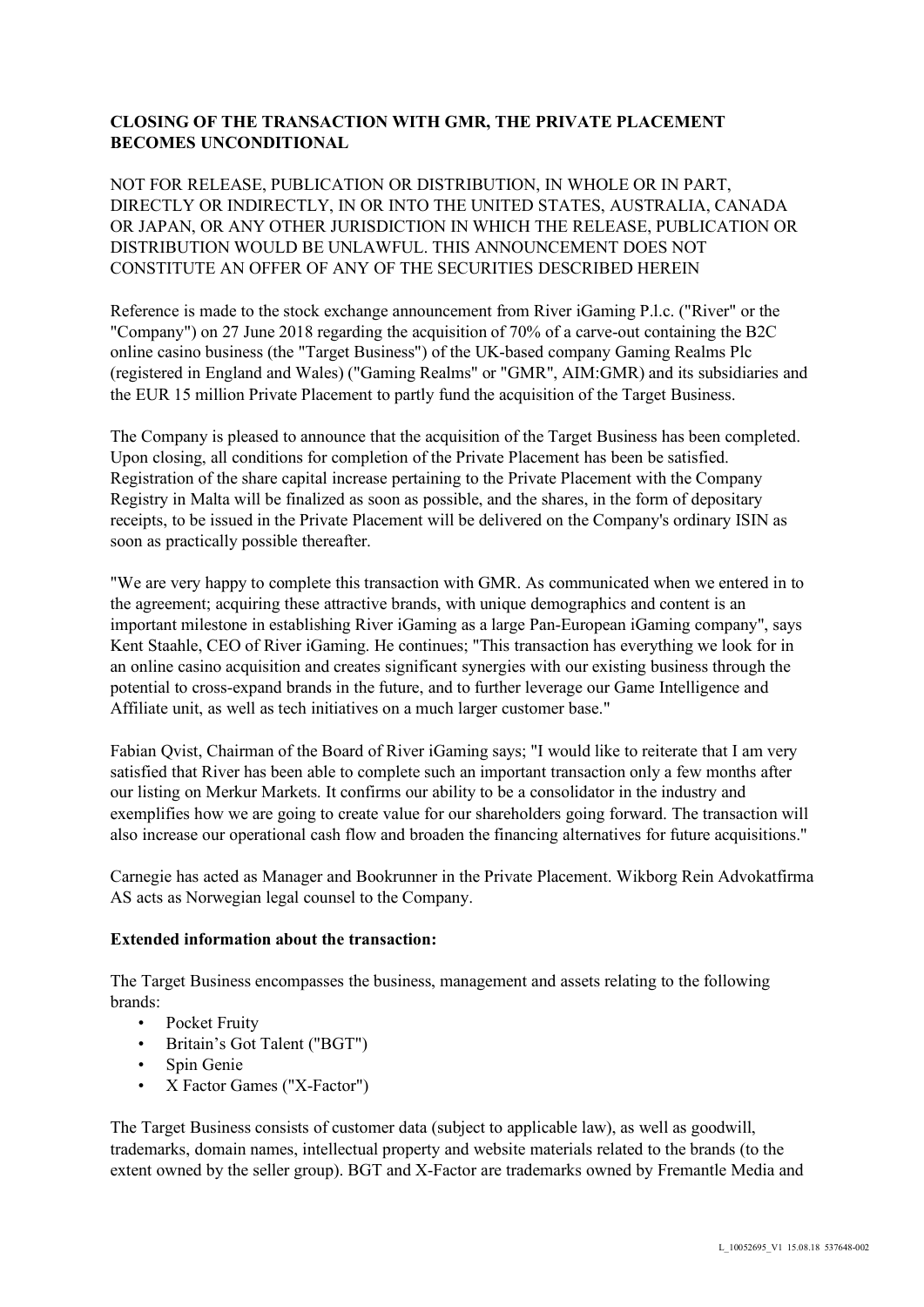## **CLOSING OF THE TRANSACTION WITH GMR, THE PRIVATE PLACEMENT BECOMES UNCONDITIONAL**

NOT FOR RELEASE, PUBLICATION OR DISTRIBUTION, IN WHOLE OR IN PART, DIRECTLY OR INDIRECTLY, IN OR INTO THE UNITED STATES, AUSTRALIA, CANADA OR JAPAN, OR ANY OTHER JURISDICTION IN WHICH THE RELEASE, PUBLICATION OR DISTRIBUTION WOULD BE UNLAWFUL. THIS ANNOUNCEMENT DOES NOT CONSTITUTE AN OFFER OF ANY OF THE SECURITIES DESCRIBED HEREIN

Reference is made to the stock exchange announcement from River iGaming P.l.c. ("River" or the "Company") on 27 June 2018 regarding the acquisition of 70% of a carve-out containing the B2C online casino business (the "Target Business") of the UK-based company Gaming Realms Plc (registered in England and Wales) ("Gaming Realms" or "GMR", AIM:GMR) and its subsidiaries and the EUR 15 million Private Placement to partly fund the acquisition of the Target Business.

The Company is pleased to announce that the acquisition of the Target Business has been completed. Upon closing, all conditions for completion of the Private Placement has been be satisfied. Registration of the share capital increase pertaining to the Private Placement with the Company Registry in Malta will be finalized as soon as possible, and the shares, in the form of depositary receipts, to be issued in the Private Placement will be delivered on the Company's ordinary ISIN as soon as practically possible thereafter.

"We are very happy to complete this transaction with GMR. As communicated when we entered in to the agreement; acquiring these attractive brands, with unique demographics and content is an important milestone in establishing River iGaming as a large Pan-European iGaming company", says Kent Staahle, CEO of River iGaming. He continues; "This transaction has everything we look for in an online casino acquisition and creates significant synergies with our existing business through the potential to cross-expand brands in the future, and to further leverage our Game Intelligence and Affiliate unit, as well as tech initiatives on a much larger customer base."

Fabian Qvist, Chairman of the Board of River iGaming says; "I would like to reiterate that I am very satisfied that River has been able to complete such an important transaction only a few months after our listing on Merkur Markets. It confirms our ability to be a consolidator in the industry and exemplifies how we are going to create value for our shareholders going forward. The transaction will also increase our operational cash flow and broaden the financing alternatives for future acquisitions."

Carnegie has acted as Manager and Bookrunner in the Private Placement. Wikborg Rein Advokatfirma AS acts as Norwegian legal counsel to the Company.

## **Extended information about the transaction:**

The Target Business encompasses the business, management and assets relating to the following brands:

- Pocket Fruity
- Britain's Got Talent ("BGT")
- Spin Genie
- X Factor Games ("X-Factor")

The Target Business consists of customer data (subject to applicable law), as well as goodwill, trademarks, domain names, intellectual property and website materials related to the brands (to the extent owned by the seller group). BGT and X-Factor are trademarks owned by Fremantle Media and